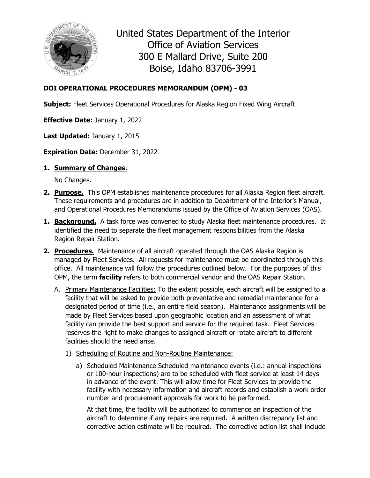

United States Department of the Interior Office of Aviation Services 300 E Mallard Drive, Suite 200 Boise, Idaho 83706-3991

## **DOI OPERATIONAL PROCEDURES MEMORANDUM (OPM) - 03**

**Subject:** Fleet Services Operational Procedures for Alaska Region Fixed Wing Aircraft

**Effective Date:** January 1, 2022

**Last Updated:** January 1, 2015

**Expiration Date:** December 31, 2022

## **1. Summary of Changes.**

No Changes.

- **2. Purpose.** This OPM establishes maintenance procedures for all Alaska Region fleet aircraft. These requirements and procedures are in addition to Department of the Interior's Manual, and Operational Procedures Memorandums issued by the Office of Aviation Services (OAS).
- **1. Background.** A task force was convened to study Alaska fleet maintenance procedures. It identified the need to separate the fleet management responsibilities from the Alaska Region Repair Station.
- **2. Procedures.** Maintenance of all aircraft operated through the OAS Alaska Region is managed by Fleet Services. All requests for maintenance must be coordinated through this office. All maintenance will follow the procedures outlined below. For the purposes of this OPM, the term **facility** refers to both commercial vendor and the OAS Repair Station.
	- A. Primary Maintenance Facilities: To the extent possible, each aircraft will be assigned to a facility that will be asked to provide both preventative and remedial maintenance for a designated period of time (i.e., an entire field season). Maintenance assignments will be made by Fleet Services based upon geographic location and an assessment of what facility can provide the best support and service for the required task. Fleet Services reserves the right to make changes to assigned aircraft or rotate aircraft to different facilities should the need arise.
		- 1) Scheduling of Routine and Non-Routine Maintenance:
			- a) Scheduled Maintenance Scheduled maintenance events (i.e.: annual inspections or 100-hour inspections) are to be scheduled with fleet service at least 14 days in advance of the event. This will allow time for Fleet Services to provide the facility with necessary information and aircraft records and establish a work order number and procurement approvals for work to be performed.

At that time, the facility will be authorized to commence an inspection of the aircraft to determine if any repairs are required. A written discrepancy list and corrective action estimate will be required. The corrective action list shall include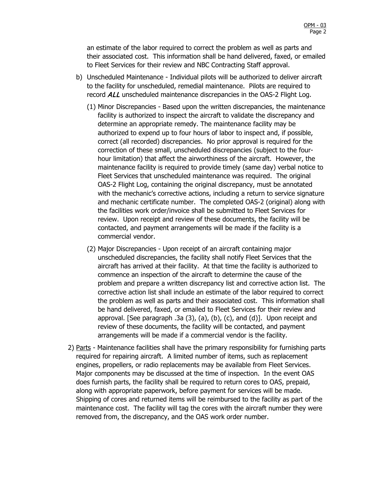an estimate of the labor required to correct the problem as well as parts and their associated cost. This information shall be hand delivered, faxed, or emailed to Fleet Services for their review and NBC Contracting Staff approval.

- b) Unscheduled Maintenance Individual pilots will be authorized to deliver aircraft to the facility for unscheduled, remedial maintenance. Pilots are required to record ALL unscheduled maintenance discrepancies in the OAS-2 Flight Log.
	- (1) Minor Discrepancies Based upon the written discrepancies, the maintenance facility is authorized to inspect the aircraft to validate the discrepancy and determine an appropriate remedy. The maintenance facility may be authorized to expend up to four hours of labor to inspect and, if possible, correct (all recorded) discrepancies. No prior approval is required for the correction of these small, unscheduled discrepancies (subject to the fourhour limitation) that affect the airworthiness of the aircraft. However, the maintenance facility is required to provide timely (same day) verbal notice to Fleet Services that unscheduled maintenance was required. The original OAS-2 Flight Log, containing the original discrepancy, must be annotated with the mechanic's corrective actions, including a return to service signature and mechanic certificate number. The completed OAS-2 (original) along with the facilities work order/invoice shall be submitted to Fleet Services for review. Upon receipt and review of these documents, the facility will be contacted, and payment arrangements will be made if the facility is a commercial vendor.
	- (2) Major Discrepancies Upon receipt of an aircraft containing major unscheduled discrepancies, the facility shall notify Fleet Services that the aircraft has arrived at their facility. At that time the facility is authorized to commence an inspection of the aircraft to determine the cause of the problem and prepare a written discrepancy list and corrective action list. The corrective action list shall include an estimate of the labor required to correct the problem as well as parts and their associated cost. This information shall be hand delivered, faxed, or emailed to Fleet Services for their review and approval. [See paragraph .3a (3), (a), (b), (c), and (d)]. Upon receipt and review of these documents, the facility will be contacted, and payment arrangements will be made if a commercial vendor is the facility.
- 2) Parts Maintenance facilities shall have the primary responsibility for furnishing parts required for repairing aircraft. A limited number of items, such as replacement engines, propellers, or radio replacements may be available from Fleet Services. Major components may be discussed at the time of inspection. In the event OAS does furnish parts, the facility shall be required to return cores to OAS, prepaid, along with appropriate paperwork, before payment for services will be made. Shipping of cores and returned items will be reimbursed to the facility as part of the maintenance cost. The facility will tag the cores with the aircraft number they were removed from, the discrepancy, and the OAS work order number.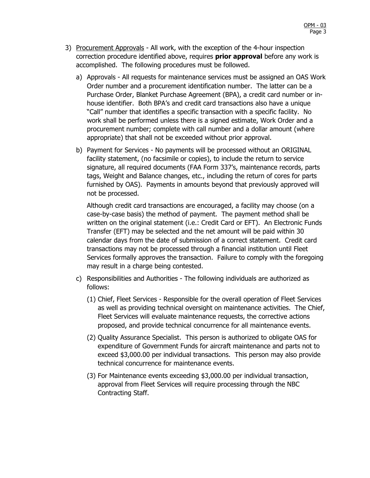- 3) Procurement Approvals All work, with the exception of the 4-hour inspection correction procedure identified above, requires **prior approval** before any work is accomplished. The following procedures must be followed.
	- a) Approvals All requests for maintenance services must be assigned an OAS Work Order number and a procurement identification number. The latter can be a Purchase Order, Blanket Purchase Agreement (BPA), a credit card number or inhouse identifier. Both BPA's and credit card transactions also have a unique "Call" number that identifies a specific transaction with a specific facility. No work shall be performed unless there is a signed estimate, Work Order and a procurement number; complete with call number and a dollar amount (where appropriate) that shall not be exceeded without prior approval.
	- b) Payment for Services No payments will be processed without an ORIGINAL facility statement, (no facsimile or copies), to include the return to service signature, all required documents (FAA Form 337's, maintenance records, parts tags, Weight and Balance changes, etc., including the return of cores for parts furnished by OAS). Payments in amounts beyond that previously approved will not be processed.

Although credit card transactions are encouraged, a facility may choose (on a case-by-case basis) the method of payment. The payment method shall be written on the original statement (i.e.: Credit Card or EFT). An Electronic Funds Transfer (EFT) may be selected and the net amount will be paid within 30 calendar days from the date of submission of a correct statement. Credit card transactions may not be processed through a financial institution until Fleet Services formally approves the transaction. Failure to comply with the foregoing may result in a charge being contested.

- c) Responsibilities and Authorities The following individuals are authorized as follows:
	- (1) Chief, Fleet Services Responsible for the overall operation of Fleet Services as well as providing technical oversight on maintenance activities. The Chief, Fleet Services will evaluate maintenance requests, the corrective actions proposed, and provide technical concurrence for all maintenance events.
	- (2) Quality Assurance Specialist. This person is authorized to obligate OAS for expenditure of Government Funds for aircraft maintenance and parts not to exceed \$3,000.00 per individual transactions. This person may also provide technical concurrence for maintenance events.
	- (3) For Maintenance events exceeding \$3,000.00 per individual transaction, approval from Fleet Services will require processing through the NBC Contracting Staff.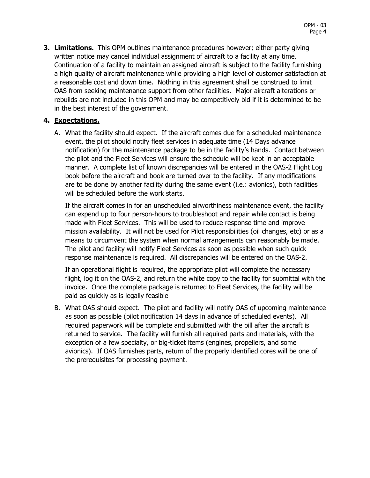**3. Limitations.** This OPM outlines maintenance procedures however; either party giving written notice may cancel individual assignment of aircraft to a facility at any time. Continuation of a facility to maintain an assigned aircraft is subject to the facility furnishing a high quality of aircraft maintenance while providing a high level of customer satisfaction at a reasonable cost and down time. Nothing in this agreement shall be construed to limit OAS from seeking maintenance support from other facilities. Major aircraft alterations or rebuilds are not included in this OPM and may be competitively bid if it is determined to be in the best interest of the government.

## **4. Expectations.**

A. What the facility should expect. If the aircraft comes due for a scheduled maintenance event, the pilot should notify fleet services in adequate time (14 Days advance notification) for the maintenance package to be in the facility's hands. Contact between the pilot and the Fleet Services will ensure the schedule will be kept in an acceptable manner. A complete list of known discrepancies will be entered in the OAS-2 Flight Log book before the aircraft and book are turned over to the facility. If any modifications are to be done by another facility during the same event (i.e.: avionics), both facilities will be scheduled before the work starts.

If the aircraft comes in for an unscheduled airworthiness maintenance event, the facility can expend up to four person-hours to troubleshoot and repair while contact is being made with Fleet Services. This will be used to reduce response time and improve mission availability. It will not be used for Pilot responsibilities (oil changes, etc) or as a means to circumvent the system when normal arrangements can reasonably be made. The pilot and facility will notify Fleet Services as soon as possible when such quick response maintenance is required. All discrepancies will be entered on the OAS-2.

If an operational flight is required, the appropriate pilot will complete the necessary flight, log it on the OAS-2, and return the white copy to the facility for submittal with the invoice. Once the complete package is returned to Fleet Services, the facility will be paid as quickly as is legally feasible

B. What OAS should expect. The pilot and facility will notify OAS of upcoming maintenance as soon as possible (pilot notification 14 days in advance of scheduled events). All required paperwork will be complete and submitted with the bill after the aircraft is returned to service. The facility will furnish all required parts and materials, with the exception of a few specialty, or big-ticket items (engines, propellers, and some avionics). If OAS furnishes parts, return of the properly identified cores will be one of the prerequisites for processing payment.